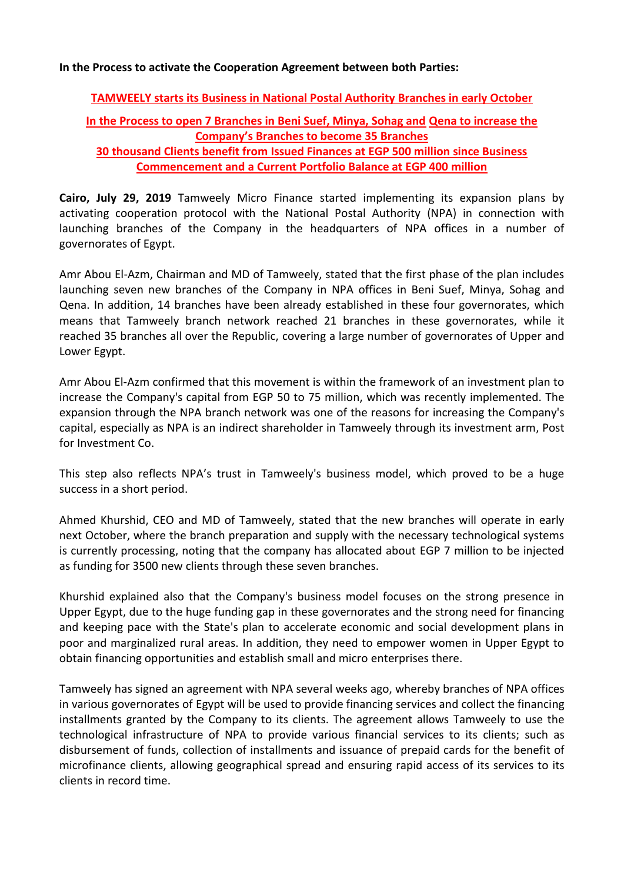## **In the Process to activate the Cooperation Agreement between both Parties:**

## **TAMWEELY starts its Business in National Postal Authority Branches in early October**

## **In the Process to open 7 Branches in Beni Suef, Minya, Sohag and Qena to increase the Company's Branches to become 35 Branches 30 thousand Clients benefit from Issued Finances at EGP 500 million since Business**

## **Commencement and a Current Portfolio Balance at EGP 400 million**

**Cairo, July 29, 2019** Tamweely Micro Finance started implementing its expansion plans by activating cooperation protocol with the National Postal Authority (NPA) in connection with launching branches of the Company in the headquarters of NPA offices in a number of governorates of Egypt.

Amr Abou El-Azm, Chairman and MD of Tamweely, stated that the first phase of the plan includes launching seven new branches of the Company in NPA offices in Beni Suef, Minya, Sohag and Qena. In addition, 14 branches have been already established in these four governorates, which means that Tamweely branch network reached 21 branches in these governorates, while it reached 35 branches all over the Republic, covering a large number of governorates of Upper and Lower Egypt.

Amr Abou El-Azm confirmed that this movement is within the framework of an investment plan to increase the Company's capital from EGP 50 to 75 million, which was recently implemented. The expansion through the NPA branch network was one of the reasons for increasing the Company's capital, especially as NPA is an indirect shareholder in Tamweely through its investment arm, Post for Investment Co.

This step also reflects NPA's trust in Tamweely's business model, which proved to be a huge success in a short period.

Ahmed Khurshid, CEO and MD of Tamweely, stated that the new branches will operate in early next October, where the branch preparation and supply with the necessary technological systems is currently processing, noting that the company has allocated about EGP 7 million to be injected as funding for 3500 new clients through these seven branches.

Khurshid explained also that the Company's business model focuses on the strong presence in Upper Egypt, due to the huge funding gap in these governorates and the strong need for financing and keeping pace with the State's plan to accelerate economic and social development plans in poor and marginalized rural areas. In addition, they need to empower women in Upper Egypt to obtain financing opportunities and establish small and micro enterprises there.

Tamweely has signed an agreement with NPA several weeks ago, whereby branches of NPA offices in various governorates of Egypt will be used to provide financing services and collect the financing installments granted by the Company to its clients. The agreement allows Tamweely to use the technological infrastructure of NPA to provide various financial services to its clients; such as disbursement of funds, collection of installments and issuance of prepaid cards for the benefit of microfinance clients, allowing geographical spread and ensuring rapid access of its services to its clients in record time.